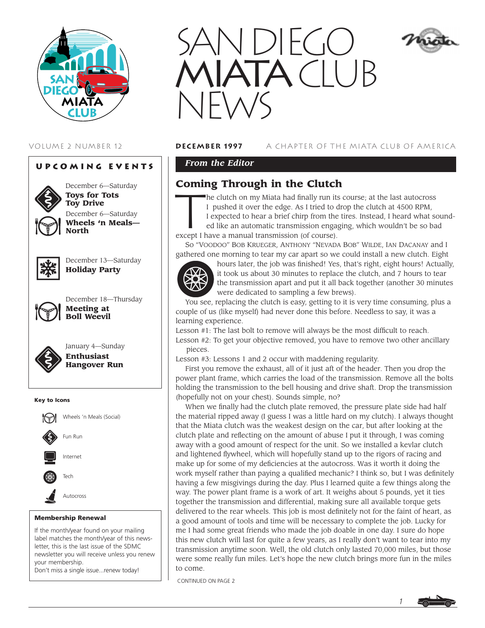

# **Upcoming Events**



December 6—Saturday **Toys for Tots Toy Drive** December 6—Saturday **Wheels 'n Meals— North**



December 13—Saturday **Holiday Party**



December 18—Thursday **Meeting at Boll Weevil**



January 4—Sunday **Enthusiast Hangover Run**

#### Key to Icons



#### Membership Renewal

If the month/year found on your mailing label matches the month/year of this newsletter, this is the last issue of the SDMC newsletter you will receive unless you renew your membership. Don't miss a single issue...renew today!



## VOLUME 2 NUMBER 12 **DECember 1997** A CHAPTER OF THE MIATA CLUB OF AMERICA

# *From the Editor*

# **Coming Through in the Clutch**

**Coming Through in the Clutch**<br>
The clutch on my Miata had finally run its course; at the last autocross<br>
I pushed it over the edge. As I tried to drop the clutch at 4500 RPM,<br>
I expected to hear a brief chirp from the tir I pushed it over the edge. As I tried to drop the clutch at 4500 RPM, I expected to hear a brief chirp from the tires. Instead, I heard what sound-

ed like an automatic transmission engaging, which wouldn't be so bad except I have a manual transmission (of course).

So "VOODOO" BOB KRUEGER, ANTHONY "NEVADA BOB" WILDE, IAN DACANAY and I gathered one morning to tear my car apart so we could install a new clutch. Eight



hours later, the job was finished! Yes, that's right, eight hours! Actually, it took us about 30 minutes to replace the clutch, and 7 hours to tear the transmission apart and put it all back together (another 30 minutes were dedicated to sampling a few brews).

You see, replacing the clutch is easy, getting to it is very time consuming, plus a couple of us (like myself) had never done this before. Needless to say, it was a learning experience.

Lesson #1: The last bolt to remove will always be the most difficult to reach.

Lesson #2: To get your objective removed, you have to remove two other ancillary pieces.

Lesson #3: Lessons 1 and 2 occur with maddening regularity.

First you remove the exhaust, all of it just aft of the header. Then you drop the power plant frame, which carries the load of the transmission. Remove all the bolts holding the transmission to the bell housing and drive shaft. Drop the transmission (hopefully not on your chest). Sounds simple, no?

When we finally had the clutch plate removed, the pressure plate side had half the material ripped away (I guess I was a little hard on my clutch). I always thought that the Miata clutch was the weakest design on the car, but after looking at the clutch plate and reflecting on the amount of abuse I put it through, I was coming away with a good amount of respect for the unit. So we installed a kevlar clutch and lightened flywheel, which will hopefully stand up to the rigors of racing and make up for some of my deficiencies at the autocross. Was it worth it doing the work myself rather than paying a qualified mechanic? I think so, but I was definitely having a few misgivings during the day. Plus I learned quite a few things along the way. The power plant frame is a work of art. It weighs about 5 pounds, yet it ties together the transmission and differential, making sure all available torque gets delivered to the rear wheels. This job is most definitely not for the faint of heart, as a good amount of tools and time will be necessary to complete the job. Lucky for me I had some great friends who made the job doable in one day. I sure do hope this new clutch will last for quite a few years, as I really don't want to tear into my transmission anytime soon. Well, the old clutch only lasted 70,000 miles, but those were some really fun miles. Let's hope the new clutch brings more fun in the miles to come.

CONTINUED ON PAGE 2

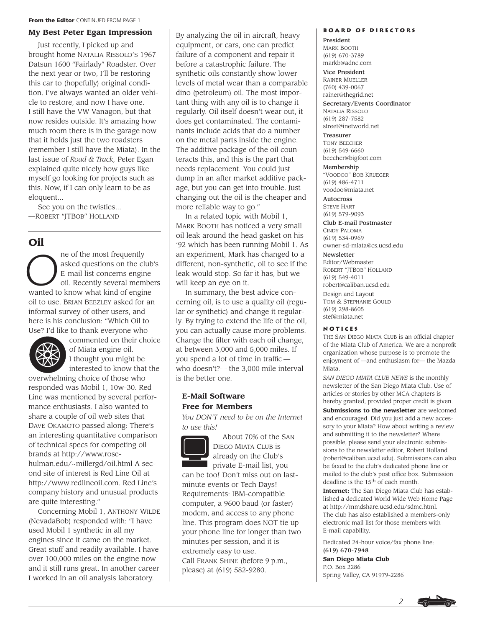#### **My Best Peter Egan Impression**

Just recently, I picked up and brought home NATALIA RISSOLO'S 1967 Datsun 1600 "Fairlady" Roadster. Over the next year or two, I'll be restoring this car to (hopefully) original condition. I've always wanted an older vehicle to restore, and now I have one. I still have the VW Vanagon, but that now resides outside. It's amazing how much room there is in the garage now that it holds just the two roadsters (remember I still have the Miata). In the last issue of *Road & Track,* Peter Egan explained quite nicely how guys like myself go looking for projects such as this. Now, if I can only learn to be as eloquent...

See you on the twisties... —ROBERT "JTBOB" HOLLAND

# **Oil**

The of the most frequently<br>asked questions on the class<br>E-mail list concerns engine asked questions on the club's E-mail list concerns engine oil. Recently several members wanted to know what kind of engine oil to use. BRIAN BEEZLEY asked for an informal survey of other users, and here is his conclusion: "Which Oil to Use? I'd like to thank everyone who



commented on their choice of Miata engine oil. I thought you might be interested to know that the

overwhelming choice of those who responded was Mobil 1, 10w-30. Red Line was mentioned by several performance enthusiasts. I also wanted to share a couple of oil web sites that DAVE OKAMOTO passed along: There's an interesting quantitative comparison of technical specs for competing oil brands at http://www.rosehulman.edu/~millergd/oil.html A second site of interest is Red Line Oil at http://www.redlineoil.com. Red Line's company history and unusual products are quite interesting."

Concerning Mobil 1, ANTHONY WILDE (NevadaBob) responded with: "I have used Mobil 1 synthetic in all my engines since it came on the market. Great stuff and readily available. I have over 100,000 miles on the engine now and it still runs great. In another career I worked in an oil analysis laboratory.

By analyzing the oil in aircraft, heavy equipment, or cars, one can predict failure of a component and repair it before a catastrophic failure. The synthetic oils constantly show lower levels of metal wear than a comparable dino (petroleum) oil. The most important thing with any oil is to change it regularly. Oil itself doesn't wear out, it does get contaminated. The contaminants include acids that do a number on the metal parts inside the engine. The additive package of the oil counteracts this, and this is the part that needs replacement. You could just dump in an after market additive package, but you can get into trouble. Just changing out the oil is the cheaper and more reliable way to go."

In a related topic with Mobil 1, MARK BOOTH has noticed a very small oil leak around the head gasket on his '92 which has been running Mobil 1. As an experiment, Mark has changed to a different, non-synthetic, oil to see if the leak would stop. So far it has, but we will keep an eye on it.

In summary, the best advice concerning oil, is to use a quality oil (regular or synthetic) and change it regularly. By trying to extend the life of the oil, you can actually cause more problems. Change the filter with each oil change, at between 3,000 and 5,000 miles. If you spend a lot of time in traffic who doesn't?— the 3,000 mile interval is the better one.

# **E-Mail Software Free for Members**

*You DON'T need to be on the Internet to use this!*



About 70% of the SAN DIEGO MIATA CLUB is already on the Club's private E-mail list, you

can be too! Don't miss out on lastminute events or Tech Days! Requirements: IBM-compatible computer, a 9600 baud (or faster) modem, and access to any phone line. This program does NOT tie up your phone line for longer than two minutes per session, and it is extremely easy to use. Call FRANK SHINE (before 9 p.m., please) at (619) 582-9280.

#### **Board of Directors**

President MARK BOOTH (619) 670-3789 markb@adnc.com

Vice President RAINER MUELLER

(760) 439-0067 rainer@thegrid.net

Secretary/Events Coordinator NATALIA RISSOLO (619) 287-7582 street@inetworld.net

Treasurer TONY BEECHER (619) 549-6660 beecher@bigfoot.com

Membership "VOODOO" BOB KRUEGER (619) 486-4711 voodoo@miata.net

Autocross STEVE HART (619) 579-9093

Club E-mail Postmaster CINDY PALOMA (619) 534-0969 owner-sd-miata@cs.ucsd.edu

#### Newsletter

Editor/Webmaster ROBERT "JTBOB" HOLLAND (619) 549-4011 robert@caliban.ucsd.edu Design and Layout TOM & STEPHANIE GOULD (619) 298-8605 stef@miata.net

#### **Notices**

THE SAN DIEGO MIATA CLUB is an official chapter of the Miata Club of America. We are a nonprofit organization whose purpose is to promote the enjoyment of —and enthusiasm for— the Mazda Miata.

*SAN DIEGO MIATA CLUB NEWS* is the monthly newsletter of the San Diego Miata Club. Use of articles or stories by other MCA chapters is hereby granted, provided proper credit is given.

**Submissions to the newsletter** are welcomed and encouraged. Did you just add a new accessory to your Miata? How about writing a review and submitting it to the newsletter? Where possible, please send your electronic submissions to the newsletter editor, Robert Holland (robert@caliban.ucsd.edu). Submissions can also be faxed to the club's dedicated phone line or mailed to the club's post office box. Submission deadline is the 15th of each month.

**Internet:** The San Diego Miata Club has established a dedicated World Wide Web Home Page at http://mmdshare.ucsd.edu/sdmc.html. The club has also established a members-only electronic mail list for those members with E-mail capability.

Dedicated 24-hour voice/fax phone line: (619) 670-7948

**San Diego Miata Club** P.O. Box 2286 Spring Valley, CA 91979-2286

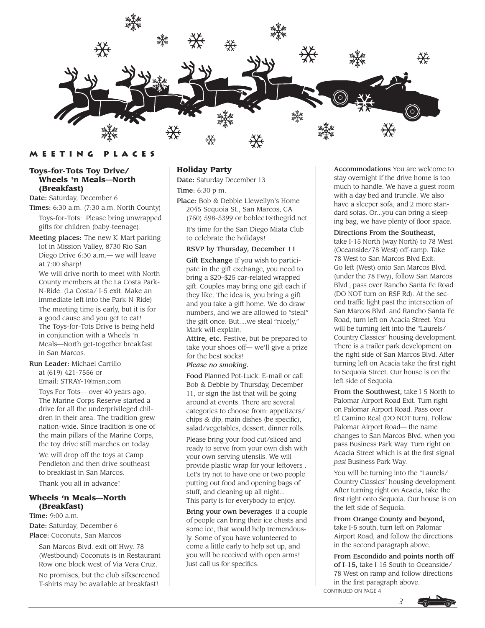

## **Meeting Places**

#### **Toys-for-Tots Toy Drive/ Wheels 'n Meals—North (Breakfast)**

Date: Saturday, December 6

Times: 6:30 a.m. (7:30 a.m. North County) Toys-for-Tots: Please bring unwrapped gifts for children (baby-teenage).

Meeting places: The new K-Mart parking lot in Mission Valley, 8730 Rio San Diego Drive 6:30 a.m.— we will leave at 7:00 sharp!

We will drive north to meet with North County members at the La Costa Park-N-Ride. (La Costa/ I-5 exit. Make an immediate left into the Park-N-Ride) The meeting time is early, but it is for a good cause and you get to eat! The Toys-for-Tots Drive is being held in conjunction with a Wheels 'n Meals—North get-together breakfast in San Marcos.

# Run Leader: Michael Carrillo

at (619) 421-7556 or Email: STRAY-1@msn.com

Toys For Tots— over 40 years ago, The Marine Corps Reserve started a drive for all the underprivileged children in their area. The tradition grew nation-wide. Since tradition is one of the main pillars of the Marine Corps,

We will drop off the toys at Camp Pendleton and then drive southeast to breakfast in San Marcos. Thank you all in advance!

the toy drive still marches on today.

## **Wheels 'n Meals—North (Breakfast)**

Time: 9:00 a.m.

Date: Saturday, December 6

#### Place: Coconuts, San Marcos

San Marcos Blvd. exit off Hwy. 78 (Westbound) Coconuts is in Restaurant Row one block west of Via Vera Cruz.

No promises, but the club silkscreened T-shirts may be available at breakfast!

## **Holiday Party**

Date: Saturday December 13 Time: 6:30 p m.

Place: Bob & Debbie Llewellyn's Home 2045 Sequoia St., San Marcos, CA (760) 598-5399 or boblee1@thegrid.net

It's time for the San Diego Miata Club to celebrate the holidays!

### RSVP by Thursday, December 11

Gift Exchange If you wish to participate in the gift exchange, you need to bring a \$20–\$25 car-related wrapped gift. Couples may bring one gift each if they like. The idea is, you bring a gift and you take a gift home. We do draw numbers, and we are allowed to "steal" the gift once. But....we steal "nicely," Mark will explain.

Attire, etc. Festive, but be prepared to take your shoes off— we'll give a prize for the best socks!

## *Please no smoking.*

Food Planned Pot-Luck. E-mail or call Bob & Debbie by Thursday, December 11, or sign the list that will be going around at events. There are several categories to choose from: appetizers/ chips & dip, main dishes (be specific), salad/vegetables, dessert, dinner rolls.

Please bring your food cut/sliced and ready to serve from your own dish with your own serving utensils. We will provide plastic wrap for your leftovers . Let's try not to have one or two people putting out food and opening bags of stuff, and cleaning up all night... This party is for everybody to enjoy.

Bring your own beverages if a couple of people can bring their ice chests and some ice, that would help tremendously. Some of you have volunteered to come a little early to help set up, and you will be received with open arms! Just call us for specifics.

Accommodations You are welcome to stay overnight if the drive home is too much to handle. We have a guest room with a day bed and trundle. We also have a sleeper sofa, and 2 more standard sofas. Or...you can bring a sleeping bag, we have plenty of floor space.

#### Directions From the Southeast,

take I-15 North (way North) to 78 West (Oceanside/78 West) off-ramp. Take 78 West to San Marcos Blvd Exit. Go left (West) onto San Marcos Blvd. (under the 78 Fwy), follow San Marcos Blvd., pass over Rancho Santa Fe Road (DO NOT turn on RSF Rd). At the second traffic light past the intersection of San Marcos Blvd. and Rancho Santa Fe Road, turn left on Acacia Street. You will be turning left into the "Laurels/ Country Classics" housing development. There is a trailer park development on the right side of San Marcos Blvd. After turning left on Acacia take the first right to Sequoia Street. Our house is on the left side of Sequoia.

From the Southwest, take I-5 North to Palomar Airport Road Exit. Turn right on Palomar Airport Road. Pass over El Camino Real (DO NOT turn). Follow Palomar Airport Road— the name changes to San Marcos Blvd. when you pass Business Park Way. Turn right on Acacia Street which is at the first signal *past* Business Park Way.

You will be turning into the "Laurels/ Country Classics" housing development. After turning right on Acacia, take the first right onto Sequoia. Our house is on the left side of Sequoia.

From Orange County and beyond, take I-5 south, turn left on Palomar Airport Road, and follow the directions in the second paragraph above.

From Escondido and points north off of I-15, take I-15 South to Oceanside/ 78 West on ramp and follow directions in the first paragraph above. CONTINUED ON PAGE 4

*3*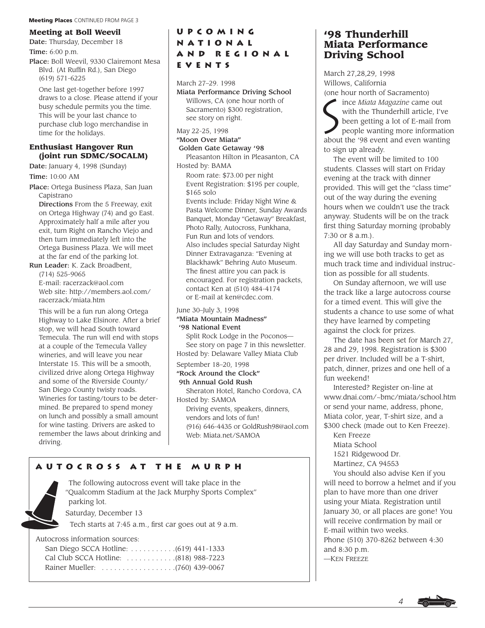## **Meeting at Boll Weevil**

Date: Thursday, December 18 Time: 6:00 p.m.

Place: Boll Weevil, 9330 Clairemont Mesa Blvd. (At Ruffin Rd.), San Diego (619) 571-6225

One last get-together before 1997 draws to a close. Please attend if your busy schedule permits you the time. This will be your last chance to purchase club logo merchandise in time for the holidays.

### **Enthusiast Hangover Run (joint run SDMC/SOCALM)**

Date: January 4, 1998 (Sunday) Time: 10:00 AM

Place: Ortega Business Plaza, San Juan Capistrano

Directions From the 5 Freeway, exit on Ortega Highway (74) and go East. Approximately half a mile after you exit, turn Right on Rancho Viejo and then turn immediately left into the Ortega Business Plaza. We will meet at the far end of the parking lot.

Run Leader: K. Zack Broadbent,

(714) 525-9065

E-mail: racerzack@aol.com Web site: http://members.aol.com/ racerzack/miata.htm

This will be a fun run along Ortega Highway to Lake Elsinore. After a brief stop, we will head South toward Temecula. The run will end with stops at a couple of the Temecula Valley wineries, and will leave you near Interstate 15. This will be a smooth, civilized drive along Ortega Highway and some of the Riverside County/ San Diego County twisty roads. Wineries for tasting/tours to be determined. Be prepared to spend money on lunch and possibly a small amount for wine tasting. Drivers are asked to remember the laws about drinking and driving.

# **UpcomingNational and RegionalEVENTS**

March 27–29. 1998

Miata Performance Driving School Willows, CA (one hour north of Sacramento) \$300 registration, see story on right.

May 22-25, 1998

#### "Moon Over Miata" Golden Gate Getaway '98

Pleasanton Hilton in Pleasanton, CA Hosted by: BAMA

Room rate: \$73.00 per night Event Registration: \$195 per couple, \$165 solo

Events include: Friday Night Wine & Pasta Welcome Dinner, Sunday Awards Banquet, Monday "Getaway" Breakfast, Photo Rally, Autocross, Funkhana, Fun Run and lots of vendors. Also includes special Saturday Night Dinner Extravaganza: "Evening at Blackhawk" Behring Auto Museum. The finest attire you can pack is encouraged. For registration packets, contact Ken at (510) 484-4174 or E-mail at ken@cdec.com.

# June 30–July 3, 1998

# "Miata Mountain Madness"

'98 National Event

Split Rock Lodge in the Poconos— See story on page 7 in this newsletter. Hosted by: Delaware Valley Miata Club

## September 18–20, 1998

"Rock Around the Clock" 9th Annual Gold Rush

Sheraton Hotel, Rancho Cordova, CA Hosted by: SAMOA

Driving events, speakers, dinners, vendors and lots of fun! (916) 646-4435 or GoldRush98@aol.com Web: Miata.net/SAMOA

# **Autocross at the Murph**



The following autocross event will take place in the "Qualcomm Stadium at the Jack Murphy Sports Complex" parking lot.

Saturday, December 13

Tech starts at 7:45 a.m., first car goes out at 9 a.m.

Autocross information sources:

# **'98 Thunderhill Miata Performance Driving School**

March 27,28,29, 1998 Willows, California

(one hour north of Sacramento)<br>
ince *Miata Magazine* came<br>
with the Thunderhill article<br>
been getting a lot of E-ma<br>
neonle wanting more infor ince *Miata Magazine* came out with the Thunderhill article, I've been getting a lot of E-mail from people wanting more information about the '98 event and even wanting to sign up already.

The event will be limited to 100 students. Classes will start on Friday evening at the track with dinner provided. This will get the "class time" out of the way during the evening hours when we couldn't use the track anyway. Students will be on the track first thing Saturday morning (probably 7:30 or 8 a.m.).

All day Saturday and Sunday morning we will use both tracks to get as much track time and individual instruction as possible for all students.

On Sunday afternoon, we will use the track like a large autocross course for a timed event. This will give the students a chance to use some of what they have learned by competing against the clock for prizes.

The date has been set for March 27, 28 and 29, 1998. Registration is \$300 per driver. Included will be a T-shirt, patch, dinner, prizes and one hell of a fun weekend!

Interested? Register on-line at www.dnai.com/~bmc/miata/school.htm or send your name, address, phone, Miata color, year, T-shirt size, and a \$300 check (made out to Ken Freeze).

Ken Freeze Miata School

1521 Ridgewood Dr.

Martinez, CA 94553

You should also advise Ken if you will need to borrow a helmet and if you plan to have more than one driver using your Miata. Registration until January 30, or all places are gone! You will receive confirmation by mail or E-mail within two weeks. Phone (510) 370-8262 between 4:30 and 8:30 p.m. —KEN FREEZE

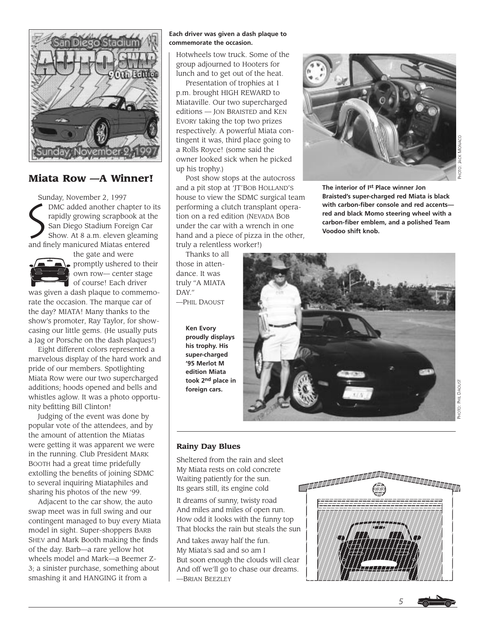

# **Miata Row —A Winner!**

Sunday, November 2, 1997  $\sum_{n=1}^{\infty}$ DMC added another chapter to its rapidly growing scrapbook at the San Diego Stadium Foreign Car Show. At 8 a.m. eleven gleaming and finely manicured Miatas entered



the gate and were promptly ushered to their own row— center stage of course! Each driver

was given a dash plaque to commemorate the occasion. The marque car of the day? MIATA! Many thanks to the show's promoter, Ray Taylor, for showcasing our little gems. (He usually puts a Jag or Porsche on the dash plaques!)

Eight different colors represented a marvelous display of the hard work and pride of our members. Spotlighting Miata Row were our two supercharged additions; hoods opened and bells and whistles aglow. It was a photo opportunity befitting Bill Clinton!

Judging of the event was done by popular vote of the attendees, and by the amount of attention the Miatas were getting it was apparent we were in the running. Club President MARK BOOTH had a great time pridefully extolling the benefits of joining SDMC to several inquiring Miataphiles and sharing his photos of the new '99.

Adjacent to the car show, the auto swap meet was in full swing and our contingent managed to buy every Miata model in sight. Super-shoppers BARB SHEV and Mark Booth making the finds of the day. Barb—a rare yellow hot wheels model and Mark—a Beemer Z-3; a sinister purchase, something about smashing it and HANGING it from a

#### **Each driver was given a dash plaque to commemorate the occasion.**

Hotwheels tow truck. Some of the group adjourned to Hooters for lunch and to get out of the heat.

Presentation of trophies at 1 p.m. brought HIGH REWARD to Miataville. Our two supercharged editions — JON BRAISTED and KEN EVORY taking the top two prizes respectively. A powerful Miata contingent it was, third place going to a Rolls Royce! (some said the owner looked sick when he picked up his trophy.)

Post show stops at the autocross and a pit stop at 'JT'BOB HOLLAND'S house to view the SDMC surgical team performing a clutch transplant operation on a red edition (NEVADA BOB under the car with a wrench in one hand and a piece of pizza in the other, truly a relentless worker!)

Thanks to all those in attendance. It was truly "A MIATA DAY." —PHIL DAOUST

> **Ken Evory proudly displays his trophy. His super-charged '95 Merlot M edition Miata took 2nd place in foreign cars.**



**The interior of Ist Place winner Jon Braisted's super-charged red Miata is black with carbon-fiber console and red accents red and black Momo steering wheel with a carbon-fiber emblem, and a polished Team Voodoo shift knob.**



PHOTO: JACK MONACO

ACK MONACO

## **Rainy Day Blues**

Sheltered from the rain and sleet My Miata rests on cold concrete Waiting patiently for the sun. Its gears still, its engine cold

It dreams of sunny, twisty road And miles and miles of open run. How odd it looks with the funny top That blocks the rain but steals the sun

And takes away half the fun. My Miata's sad and so am I But soon enough the clouds will clear And off we'll go to chase our dreams. —BRIAN BEEZLEY



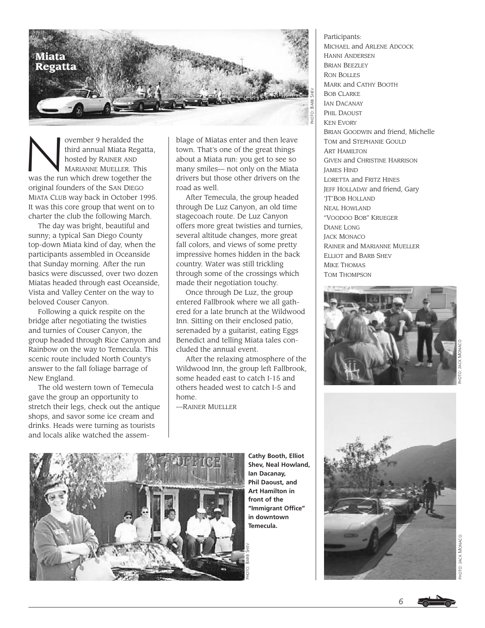

Super 9 heralded the third annual Miata Regard to the MARIANNE MUFLLER. This third annual Miata Regatta, hosted by RAINER AND MARIANNE MUELLER. This was the run which drew together the original founders of the SAN DIEGO MIATA CLUB way back in October 1995. It was this core group that went on to charter the club the following March.

The day was bright, beautiful and sunny; a typical San Diego County top-down Miata kind of day, when the participants assembled in Oceanside that Sunday morning. After the run basics were discussed, over two dozen Miatas headed through east Oceanside, Vista and Valley Center on the way to beloved Couser Canyon.

Following a quick respite on the bridge after negotiating the twisties and turnies of Couser Canyon, the group headed through Rice Canyon and Rainbow on the way to Temecula. This scenic route included North County's answer to the fall foliage barrage of New England.

The old western town of Temecula gave the group an opportunity to stretch their legs, check out the antique shops, and savor some ice cream and drinks. Heads were turning as tourists and locals alike watched the assemblage of Miatas enter and then leave town. That's one of the great things about a Miata run: you get to see so many smiles— not only on the Miata drivers but those other drivers on the road as well.

After Temecula, the group headed through De Luz Canyon, an old time stagecoach route. De Luz Canyon offers more great twisties and turnies, several altitude changes, more great fall colors, and views of some pretty impressive homes hidden in the back country. Water was still trickling through some of the crossings which made their negotiation touchy.

Once through De Luz, the group entered Fallbrook where we all gathered for a late brunch at the Wildwood Inn. Sitting on their enclosed patio, serenaded by a guitarist, eating Eggs Benedict and telling Miata tales concluded the annual event.

After the relaxing atmosphere of the Wildwood Inn, the group left Fallbrook, some headed east to catch I-15 and others headed west to catch I-5 and home.

—RAINER MUELLER

Participants: MICHAEL and ARLENE ADCOCK HANNI ANDERSEN BRIAN BEEZLEY RON BOLLES MARK and CATHY BOOTH BOB CLARKE IAN DACANAY PHIL DAOUST KEN EVORY BRIAN GOODWIN and friend, Michelle TOM and STEPHANIE GOULD ART HAMILTON GIVEN and CHRISTINE HARRISON JAMES HIND LORETTA and FRITZ HINES JEFF HOLLADAY and friend, Gary 'JT'BOB HOLLAND NEAL HOWLAND "VOODOO BOB" KRUEGER DIANE LONG **JACK MONACO** RAINER and MARIANNE MUELLER ELLIOT and BARB SHEV MIKE THOMAS

TOM THOMPSON







**Cathy Booth, Elliot Shev, Neal Howland, Ian Dacanay, Phil Daoust, and Art Hamilton in front of the "Immigrant Office" in downtown Temecula.**

*6*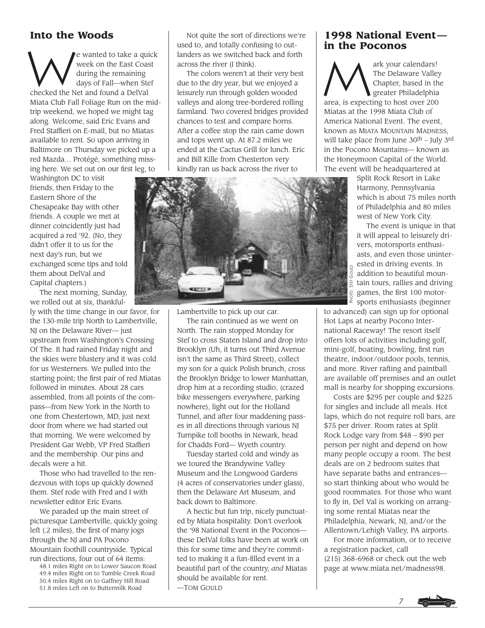# **Into the Woods**

We wanted to take a quick<br>Week on the East Coast<br>during the remaining<br>days of Fall—when Stef week on the East Coast during the remaining days of Fall—when Stef checked the Net and found a DelVal Miata Club Fall Foliage Run on the midtrip weekend, we hoped we might tag along. Welcome, said Eric Evans and Fred Staffieri on E-mail, but no Miatas available to rent. So upon arriving in Baltimore on Thursday we picked up a red Mazda… Protégé, something missing here. We set out on our first leg, to

Washington DC to visit friends, then Friday to the Eastern Shore of the Chesapeake Bay with other friends. A couple we met at dinner coincidently just had acquired a red '92. (No, they didn't offer it to us for the next day's run, but we exchanged some tips and told them about DelVal and Capital chapters.)

The next morning, Sunday, we rolled out at six, thankful-

ly with the time change in our favor, for the 130-mile trip North to Lambertville, NJ on the Delaware River— just upstream from Washington's Crossing Of The. It had rained Friday night and the skies were blustery and it was cold for us Westerners. We pulled into the starting point; the first pair of red Miatas followed in minutes. About 28 cars assembled, from all points of the compass—from New York in the North to one from Chestertown, MD, just next door from where we had started out that morning. We were welcomed by President Gar Webb, VP Fred Staffieri and the membership. Our pins and decals were a hit.

Those who had travelled to the rendezvous with tops up quickly downed them. Stef rode with Fred and I with newsletter editor Eric Evans.

We paraded up the main street of picturesque Lambertville, quickly going left (.2 miles), the first of many jogs through the NJ and PA Pocono Mountain foothill countryside. Typical run directions, four out of 64 items:

48.1 miles Right on to Lower Saucon Road 49.4 miles Right on to Tumble Creek Road 50.4 miles Right on to Gaffney Hill Road 51.8 miles Left on to Buttermilk Road

Not quite the sort of directions we're used to, and totally confusing to outlanders as we switched back and forth across the river (I think).

The colors weren't at their very best due to the dry year, but we enjoyed a leisurely run through golden wooded valleys and along tree-bordered rolling farmland. Two covered bridges provided chances to test and compare horns. After a coffee stop the rain came down and tops went up. At 87.2 miles we ended at the Cactus Grill for lunch. Eric and Bill Kille from Chesterton very kindly ran us back across the river to



Lambertville to pick up our car.

The rain continued as we went on North. The rain stopped Monday for Stef to cross Staten Island and drop into Brooklyn (Uh, it turns out Third Avenue isn't the same as Third Street), collect my son for a quick Polish brunch, cross the Brooklyn Bridge to lower Manhattan, drop him at a recording studio, (crazed bike messengers everywhere, parking nowhere), light out for the Holland Tunnel, and after four maddening passes in all directions through various NJ Turnpike toll booths in Newark, head for Chadds Ford— Wyeth country.

Tuesday started cold and windy as we toured the Brandywine Valley Museum and the Longwood Gardens (4 acres of conservatories under glass), then the Delaware Art Museum, and back down to Baltimore.

A hectic but fun trip, nicely punctuated by Miata hospitality. Don't overlook the '98 National Event in the Poconos these DelVal folks have been at work on this for some time and they're committed to making it a fun-filled event in a beautiful part of the country, *and* Miatas should be available for rent. —TOM GOULD

# **1998 National Event in the Poconos**

The DeCorners!<br>The Delaware Valley<br>Chapter, based in the preater Philadelphia The Delaware Valley Chapter, based in the greater Philadelphia area, is expecting to host over 200 Miatas at the 1998 Miata Club of America National Event. The event, known as MIATA MOUNTAIN MADNESS, will take place from June 30th – July 3rd in the Pocono Mountains— known as the Honeymoon Capital of the World.

The event will be headquartered at

Split Rock Resort in Lake Harmony, Pennsylvania which is about 75 miles north of Philadelphia and 80 miles west of New York City.

The event is unique in that it will appeal to leisurely drivers, motorsports enthusiasts, and even those uninterested in driving events. In addition to beautiful mountain tours, rallies and driving games, the first 100 motorsports enthusiasts (beginner

to advanced) can sign up for optional Hot Laps at nearby Pocono International Raceway! The resort itself offers lots of activities including golf, mini-golf, boating, bowling, first run theatre, indoor/outdoor pools, tennis, and more. River rafting and paintball are available off premises and an outlet mall is nearby for shopping excursions.

Costs are \$295 per couple and \$225 for singles and include all meals. Hot laps, which do not require roll bars, are \$75 per driver. Room rates at Split Rock Lodge vary from \$48 – \$90 per person per night and depend on how many people occupy a room. The best deals are on 2 bedroom suites that have separate baths and entrances so start thinking about who would be good roommates. For those who want to fly in, Del Val is working on arranging some rental Miatas near the Philadelphia, Newark, NJ, and/or the Allentown/Lehigh Valley, PA airports.

For more information, or to receive a registration packet, call (215) 368-6968 or check out the web page at www.miata.net/madness98.

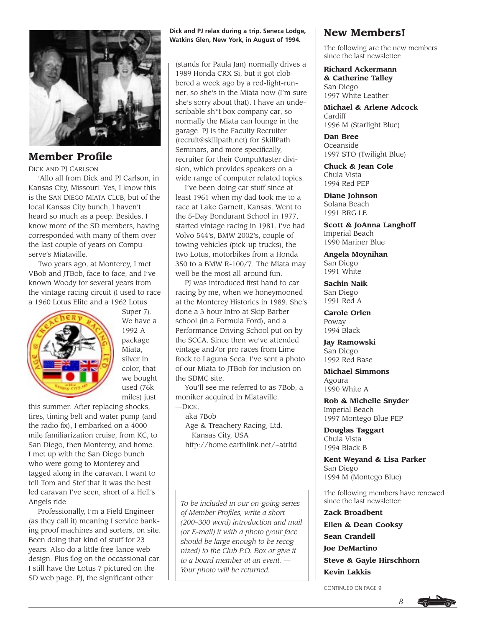

**Member Profile** 

DICK AND PJ CARLSON

'Allo all from Dick and PJ Carlson, in Kansas City, Missouri. Yes, I know this is the SAN DIEGO MIATA CLUB, but of the local Kansas City bunch, I haven't heard so much as a peep. Besides, I know more of the SD members, having corresponded with many of them over the last couple of years on Compuserve's Miataville.

Two years ago, at Monterey, I met VBob and JTBob, face to face, and I've known Woody for several years from the vintage racing circuit (I used to race a 1960 Lotus Elite and a 1962 Lotus



Super 7). We have a 1992 A package Miata, silver in color, that we bought used (76k miles) just

this summer. After replacing shocks, tires, timing belt and water pump (and the radio fix), I embarked on a 4000 mile familiarization cruise, from KC, to San Diego, then Monterey, and home. I met up with the San Diego bunch who were going to Monterey and tagged along in the caravan. I want to tell Tom and Stef that it was the best led caravan I've seen, short of a Hell's Angels ride.

Professionally, I'm a Field Engineer (as they call it) meaning I service banking proof machines and sorters, on site. Been doing that kind of stuff for 23 years. Also do a little free-lance web design. Plus flog on the occassional car. I still have the Lotus 7 pictured on the SD web page. PJ, the significant other

### **Dick and PJ relax during a trip. Seneca Lodge, Watkins Glen, New York, in August of 1994.**

(stands for Paula Jan) normally drives a 1989 Honda CRX Si, but it got clobbered a week ago by a red-light-runner, so she's in the Miata now (I'm sure she's sorry about that). I have an undescribable sh\*t box company car, so normally the Miata can lounge in the garage. PJ is the Faculty Recruiter (recruit@skillpath.net) for SkillPath Seminars, and more specifically, recruiter for their CompuMaster division, which provides speakers on a wide range of computer related topics.

I've been doing car stuff since at least 1961 when my dad took me to a race at Lake Garnett, Kansas. Went to the 5-Day Bondurant School in 1977, started vintage racing in 1981. I've had Volvo 544's, BMW 2002's, couple of towing vehicles (pick-up trucks), the two Lotus, motorbikes from a Honda 350 to a BMW R-100/7. The Miata may well be the most all-around fun.

PJ was introduced first hand to car racing by me, when we honeymooned at the Monterey Historics in 1989. She's done a 3 hour Intro at Skip Barber school (in a Formula Ford), and a Performance Driving School put on by the SCCA. Since then we've attended vintage and/or pro races from Lime Rock to Laguna Seca. I've sent a photo of our Miata to JTBob for inclusion on the SDMC site.

You'll see me referred to as 7Bob, a moniker acquired in Miataville. —DICK,

aka 7Bob

Age & Treachery Racing, Ltd. Kansas City, USA http://home.earthlink.net/~atrltd

*To be included in our on-going series of Member Profiles, write a short (200–300 word) introduction and mail (or E-mail) it with a photo (your face should be large enough to be recognized) to the Club P.O. Box or give it to a board member at an event. — Your photo will be returned.*

# **New Members!**

The following are the new members since the last newsletter:

**Richard Ackermann & Catherine Talley** San Diego 1997 White Leather

**Michael & Arlene Adcock** Cardiff 1996 M (Starlight Blue)

**Dan Bree** Oceanside 1997 STO (Twilight Blue)

**Chuck & Jean Cole** Chula Vista 1994 Red PEP

**Diane Johnson** Solana Beach 1991 BRG LE

**Scott & JoAnna Langhoff** Imperial Beach 1990 Mariner Blue

**Angela Moynihan** San Diego 1991 White

**Sachin Naik** San Diego 1991 Red A

**Carole Orlen** Poway 1994 Black

**Jay Ramowski** San Diego 1992 Red Base

**Michael Simmons** Agoura 1990 White A

**Rob & Michelle Snyder** Imperial Beach 1997 Montego Blue PEP

**Douglas Taggart** Chula Vista 1994 Black B

**Kent Weyand & Lisa Parker** San Diego 1994 M (Montego Blue)

The following members have renewed since the last newsletter:

**Zack Broadbent Ellen & Dean Cooksy Sean Crandell Joe DeMartino Steve & Gayle Hirschhorn Kevin Lakkis**

CONTINUED ON PAGE 9



*8*